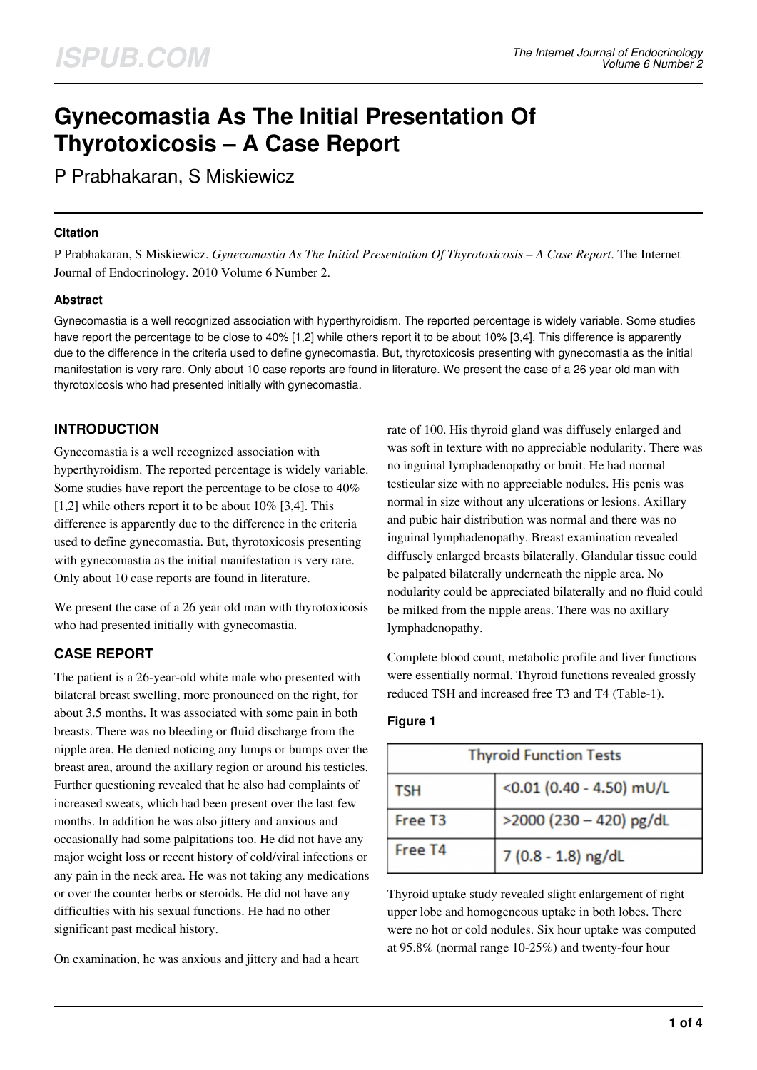# **Gynecomastia As The Initial Presentation Of Thyrotoxicosis – A Case Report**

P Prabhakaran, S Miskiewicz

#### **Citation**

P Prabhakaran, S Miskiewicz. *Gynecomastia As The Initial Presentation Of Thyrotoxicosis – A Case Report*. The Internet Journal of Endocrinology. 2010 Volume 6 Number 2.

#### **Abstract**

Gynecomastia is a well recognized association with hyperthyroidism. The reported percentage is widely variable. Some studies have report the percentage to be close to 40% [1,2] while others report it to be about 10% [3,4]. This difference is apparently due to the difference in the criteria used to define gynecomastia. But, thyrotoxicosis presenting with gynecomastia as the initial manifestation is very rare. Only about 10 case reports are found in literature. We present the case of a 26 year old man with thyrotoxicosis who had presented initially with gynecomastia.

### **INTRODUCTION**

Gynecomastia is a well recognized association with hyperthyroidism. The reported percentage is widely variable. Some studies have report the percentage to be close to 40%  $[1,2]$  while others report it to be about  $10\%$   $[3,4]$ . This difference is apparently due to the difference in the criteria used to define gynecomastia. But, thyrotoxicosis presenting with gynecomastia as the initial manifestation is very rare. Only about 10 case reports are found in literature.

We present the case of a 26 year old man with thyrotoxicosis who had presented initially with gynecomastia.

### **CASE REPORT**

The patient is a 26-year-old white male who presented with bilateral breast swelling, more pronounced on the right, for about 3.5 months. It was associated with some pain in both breasts. There was no bleeding or fluid discharge from the nipple area. He denied noticing any lumps or bumps over the breast area, around the axillary region or around his testicles. Further questioning revealed that he also had complaints of increased sweats, which had been present over the last few months. In addition he was also jittery and anxious and occasionally had some palpitations too. He did not have any major weight loss or recent history of cold/viral infections or any pain in the neck area. He was not taking any medications or over the counter herbs or steroids. He did not have any difficulties with his sexual functions. He had no other significant past medical history.

On examination, he was anxious and jittery and had a heart

rate of 100. His thyroid gland was diffusely enlarged and was soft in texture with no appreciable nodularity. There was no inguinal lymphadenopathy or bruit. He had normal testicular size with no appreciable nodules. His penis was normal in size without any ulcerations or lesions. Axillary and pubic hair distribution was normal and there was no inguinal lymphadenopathy. Breast examination revealed diffusely enlarged breasts bilaterally. Glandular tissue could be palpated bilaterally underneath the nipple area. No nodularity could be appreciated bilaterally and no fluid could be milked from the nipple areas. There was no axillary lymphadenopathy.

Complete blood count, metabolic profile and liver functions were essentially normal. Thyroid functions revealed grossly reduced TSH and increased free T3 and T4 (Table-1).

| <b>Thyroid Function Tests</b> |                          |  |
|-------------------------------|--------------------------|--|
| <b>TSH</b>                    | <0.01 (0.40 - 4.50) mU/L |  |
| Free T3                       | >2000 (230 - 420) pg/dL  |  |
| Free T4                       | 7 (0.8 - 1.8) ng/dL      |  |

#### **Figure 1**

Thyroid uptake study revealed slight enlargement of right upper lobe and homogeneous uptake in both lobes. There were no hot or cold nodules. Six hour uptake was computed at 95.8% (normal range 10-25%) and twenty-four hour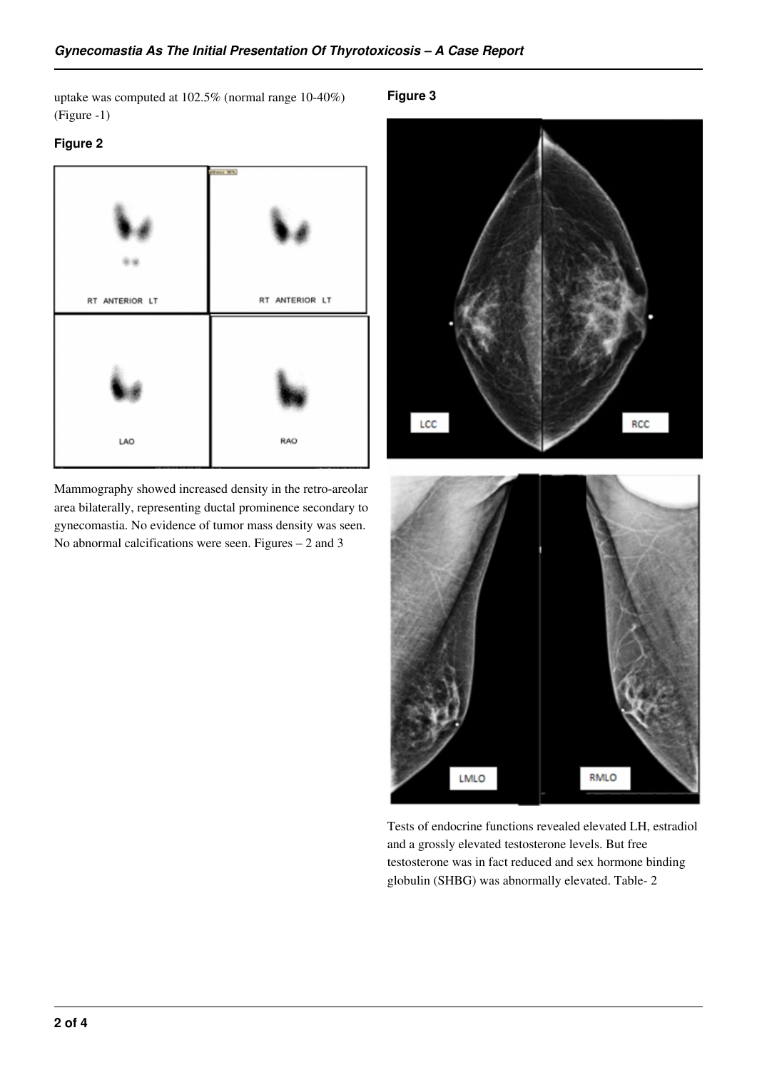uptake was computed at 102.5% (normal range 10-40%) (Figure -1)

#### **Figure 2**



Mammography showed increased density in the retro-areolar area bilaterally, representing ductal prominence secondary to gynecomastia. No evidence of tumor mass density was seen. No abnormal calcifications were seen. Figures – 2 and 3

#### **Figure 3**



Tests of endocrine functions revealed elevated LH, estradiol and a grossly elevated testosterone levels. But free testosterone was in fact reduced and sex hormone binding globulin (SHBG) was abnormally elevated. Table- 2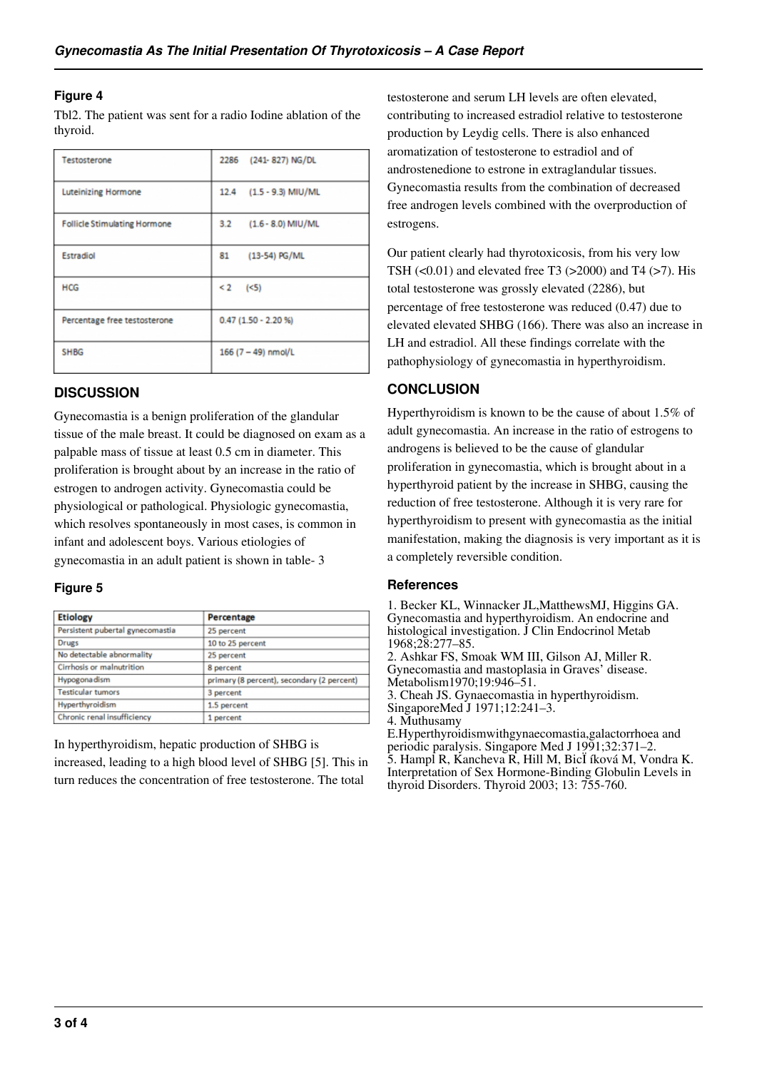#### **Figure 4**

Tbl2. The patient was sent for a radio Iodine ablation of the thyroid.

| Testosterone                        | 2286 (241-827) NG/DL        |
|-------------------------------------|-----------------------------|
| Luteinizing Hormone                 | 12.4 (1.5 - 9.3) MIU/ML     |
| <b>Follicle Stimulating Hormone</b> | $(1.6 - 8.0)$ MIU/ML<br>3.2 |
| Estradiol                           | 81<br>(13-54) PG/ML         |
| <b>HCG</b>                          | $< 2$ (<5)                  |
| Percentage free testosterone        | $0.47(1.50 - 2.20%)$        |
| <b>SHBG</b>                         | 166 $(7 - 49)$ nmol/L       |

#### **DISCUSSION**

Gynecomastia is a benign proliferation of the glandular tissue of the male breast. It could be diagnosed on exam as a palpable mass of tissue at least 0.5 cm in diameter. This proliferation is brought about by an increase in the ratio of estrogen to androgen activity. Gynecomastia could be physiological or pathological. Physiologic gynecomastia, which resolves spontaneously in most cases, is common in infant and adolescent boys. Various etiologies of gynecomastia in an adult patient is shown in table- 3

#### **Figure 5**

| <b>Etiology</b>                  | Percentage                                 |
|----------------------------------|--------------------------------------------|
| Persistent pubertal gynecomastia | 25 percent                                 |
| Drugs                            | 10 to 25 percent                           |
| No detectable abnormality        | 25 percent                                 |
| Cirrhosis or malnutrition        | 8 percent                                  |
| Hypogona dism                    | primary (8 percent), secondary (2 percent) |
| <b>Testicular tumors</b>         | 3 percent                                  |
| Hyperthyroidism                  | 1.5 percent                                |
| Chronic renal insufficiency      | 1 percent                                  |

In hyperthyroidism, hepatic production of SHBG is increased, leading to a high blood level of SHBG [5]. This in turn reduces the concentration of free testosterone. The total

testosterone and serum LH levels are often elevated, contributing to increased estradiol relative to testosterone production by Leydig cells. There is also enhanced aromatization of testosterone to estradiol and of androstenedione to estrone in extraglandular tissues. Gynecomastia results from the combination of decreased free androgen levels combined with the overproduction of estrogens.

Our patient clearly had thyrotoxicosis, from his very low TSH (<0.01) and elevated free T3 (>2000) and T4 (>7). His total testosterone was grossly elevated (2286), but percentage of free testosterone was reduced (0.47) due to elevated elevated SHBG (166). There was also an increase in LH and estradiol. All these findings correlate with the pathophysiology of gynecomastia in hyperthyroidism.

#### **CONCLUSION**

Hyperthyroidism is known to be the cause of about 1.5% of adult gynecomastia. An increase in the ratio of estrogens to androgens is believed to be the cause of glandular proliferation in gynecomastia, which is brought about in a hyperthyroid patient by the increase in SHBG, causing the reduction of free testosterone. Although it is very rare for hyperthyroidism to present with gynecomastia as the initial manifestation, making the diagnosis is very important as it is a completely reversible condition.

#### **References**

1. Becker KL, Winnacker JL,MatthewsMJ, Higgins GA. Gynecomastia and hyperthyroidism. An endocrine and histological investigation. J Clin Endocrinol Metab 1968;28:277–85. 2. Ashkar FS, Smoak WM III, Gilson AJ, Miller R. Gynecomastia and mastoplasia in Graves' disease.

Metabolism1970;19:946–51. 3. Cheah JS. Gynaecomastia in hyperthyroidism.

SingaporeMed J 1971;12:241–3.

E.Hyperthyroidismwithgynaecomastia,galactorrhoea and periodic paralysis. Singapore Med J 1991;32:371–2. 5. Hampl R, Kancheva R, Hill M, BicÏ íková M, Vondra K. Interpretation of Sex Hormone-Binding Globulin Levels in thyroid Disorders. Thyroid 2003; 13: 755-760.

<sup>4.</sup> Muthusamy